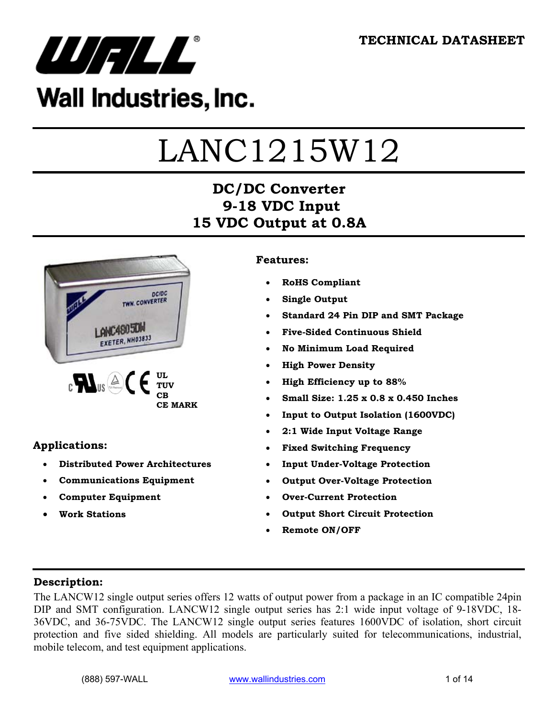

## Wall Industries, Inc.

# LANC1215W12

## **DC/DC Converter 9-18 VDC Input 15 VDC Output at 0.8A**



#### **Applications:**

- **Distributed Power Architectures**
- **Communications Equipment**
- **Computer Equipment**
- **Work Stations**

#### **Features:**

- **RoHS Compliant**
- **Single Output**
- **Standard 24 Pin DIP and SMT Package**
- **Five-Sided Continuous Shield**
- **No Minimum Load Required**
- **High Power Density**
- **High Efficiency up to 88%**
- **Small Size: 1.25 x 0.8 x 0.450 Inches**
- **Input to Output Isolation (1600VDC)**
- **2:1 Wide Input Voltage Range**
- **Fixed Switching Frequency**
- **Input Under-Voltage Protection**
- **Output Over-Voltage Protection**
- **Over-Current Protection**
- **Output Short Circuit Protection**
- **Remote ON/OFF**

#### **Description:**

The LANCW12 single output series offers 12 watts of output power from a package in an IC compatible 24pin DIP and SMT configuration. LANCW12 single output series has 2:1 wide input voltage of 9-18VDC, 18- 36VDC, and 36-75VDC. The LANCW12 single output series features 1600VDC of isolation, short circuit protection and five sided shielding. All models are particularly suited for telecommunications, industrial, mobile telecom, and test equipment applications.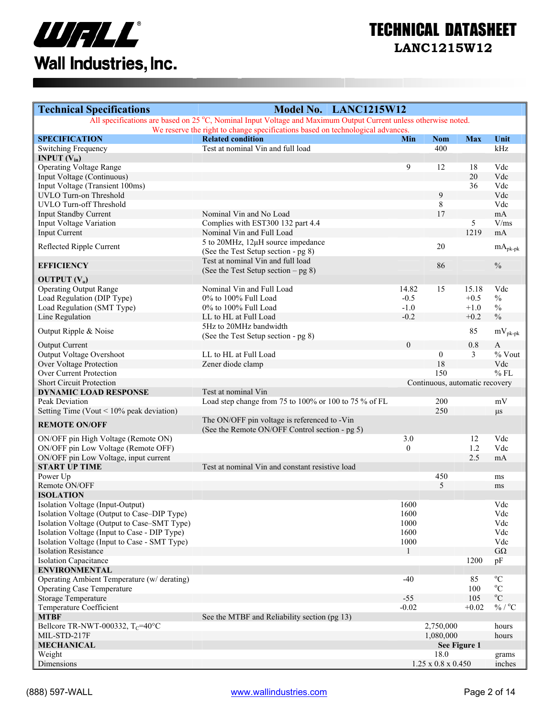

| <b>Technical Specifications</b>                | Model No. LANC1215W12                                                                                           |                  |                                |                  |                             |
|------------------------------------------------|-----------------------------------------------------------------------------------------------------------------|------------------|--------------------------------|------------------|-----------------------------|
|                                                | All specifications are based on 25 °C, Nominal Input Voltage and Maximum Output Current unless otherwise noted. |                  |                                |                  |                             |
|                                                | We reserve the right to change specifications based on technological advances.                                  |                  |                                |                  |                             |
| <b>SPECIFICATION</b><br>Switching Frequency    | <b>Related condition</b><br>Test at nominal Vin and full load                                                   | Min              | <b>Nom</b><br>400              | <b>Max</b>       | Unit<br>kHz                 |
| <b>INPUT</b> $(V_{in})$                        |                                                                                                                 |                  |                                |                  |                             |
| <b>Operating Voltage Range</b>                 |                                                                                                                 | 9                | 12                             | 18               | Vdc                         |
| Input Voltage (Continuous)                     |                                                                                                                 |                  |                                | 20               | Vdc                         |
| Input Voltage (Transient 100ms)                |                                                                                                                 |                  |                                | 36               | Vdc                         |
| UVLO Turn-on Threshold                         |                                                                                                                 |                  | 9                              |                  | Vdc                         |
| UVLO Turn-off Threshold                        |                                                                                                                 |                  | 8                              |                  | Vdc                         |
| <b>Input Standby Current</b>                   | Nominal Vin and No Load                                                                                         |                  | 17                             |                  | mA                          |
| Input Voltage Variation                        | Complies with EST300 132 part 4.4                                                                               |                  |                                | 5                | V/ms                        |
| <b>Input Current</b>                           | Nominal Vin and Full Load                                                                                       |                  |                                | 1219             | mA                          |
| Reflected Ripple Current                       | 5 to 20MHz, 12µH source impedance                                                                               |                  | 20                             |                  | $mA_{\textrm{pk-pk}}$       |
|                                                | (See the Test Setup section - pg 8)                                                                             |                  |                                |                  |                             |
| <b>EFFICIENCY</b>                              | Test at nominal Vin and full load                                                                               |                  | 86                             |                  | $\frac{0}{0}$               |
|                                                | (See the Test Setup section $-$ pg 8)                                                                           |                  |                                |                  |                             |
| OUTPUT $(V_0)$                                 |                                                                                                                 |                  |                                |                  |                             |
| <b>Operating Output Range</b>                  | Nominal Vin and Full Load                                                                                       | 14.82            | 15                             | 15.18            | Vdc                         |
| Load Regulation (DIP Type)                     | 0% to 100% Full Load<br>0% to 100% Full Load                                                                    | $-0.5$           |                                | $+0.5$           | $\frac{0}{0}$               |
| Load Regulation (SMT Type)<br>Line Regulation  | LL to HL at Full Load                                                                                           | $-1.0$<br>$-0.2$ |                                | $+1.0$<br>$+0.2$ | $\%$<br>$\frac{0}{0}$       |
|                                                | 5Hz to 20MHz bandwidth                                                                                          |                  |                                |                  |                             |
| Output Ripple & Noise                          | (See the Test Setup section - pg 8)                                                                             |                  |                                | 85               | $mV_{pk-pk}$                |
| <b>Output Current</b>                          |                                                                                                                 | $\theta$         |                                | 0.8              | $\mathbf{A}$                |
| Output Voltage Overshoot                       | LL to HL at Full Load                                                                                           |                  | $\mathbf{0}$                   | 3                | % Vout                      |
| Over Voltage Protection                        | Zener diode clamp                                                                                               |                  | 18                             |                  | Vdc                         |
| Over Current Protection                        |                                                                                                                 |                  | 150                            |                  | $%$ FL                      |
| <b>Short Circuit Protection</b>                |                                                                                                                 |                  | Continuous, automatic recovery |                  |                             |
| <b>DYNAMIC LOAD RESPONSE</b>                   | Test at nominal Vin                                                                                             |                  |                                |                  |                             |
| Peak Deviation                                 | Load step change from 75 to 100% or 100 to 75 % of FL                                                           |                  | 200                            |                  | mV                          |
| Setting Time (Vout $\leq 10\%$ peak deviation) |                                                                                                                 |                  | 250                            |                  | $\mu s$                     |
| <b>REMOTE ON/OFF</b>                           | The ON/OFF pin voltage is referenced to -Vin                                                                    |                  |                                |                  |                             |
| ON/OFF pin High Voltage (Remote ON)            | (See the Remote ON/OFF Control section - pg 5)                                                                  | 3.0              |                                | 12               | Vdc                         |
| ON/OFF pin Low Voltage (Remote OFF)            |                                                                                                                 | $\Omega$         |                                | 1.2              | Vdc                         |
| ON/OFF pin Low Voltage, input current          |                                                                                                                 |                  |                                | 2.5              | mA                          |
| <b>START UP TIME</b>                           | Test at nominal Vin and constant resistive load                                                                 |                  |                                |                  |                             |
| Power Up                                       |                                                                                                                 |                  | 450                            |                  | ms                          |
| Remote ON/OFF                                  |                                                                                                                 |                  | 5                              |                  | ms                          |
| <b>ISOLATION</b>                               |                                                                                                                 |                  |                                |                  |                             |
| Isolation Voltage (Input-Output)               |                                                                                                                 | 1600             |                                |                  | Vdc                         |
| Isolation Voltage (Output to Case–DIP Type)    |                                                                                                                 | 1600             |                                |                  | Vdc                         |
| Isolation Voltage (Output to Case–SMT Type)    |                                                                                                                 | 1000             |                                |                  | Vdc                         |
| Isolation Voltage (Input to Case - DIP Type)   |                                                                                                                 | 1600             |                                |                  | Vdc                         |
| Isolation Voltage (Input to Case - SMT Type)   |                                                                                                                 | 1000             |                                |                  | Vdc                         |
| <b>Isolation Resistance</b>                    |                                                                                                                 |                  |                                |                  | $G\Omega$                   |
| <b>Isolation Capacitance</b>                   |                                                                                                                 |                  |                                | 1200             | pF                          |
| <b>ENVIRONMENTAL</b>                           |                                                                                                                 |                  |                                |                  |                             |
| Operating Ambient Temperature (w/ derating)    |                                                                                                                 | $-40$            |                                | 85               | $^{\circ}C$                 |
| <b>Operating Case Temperature</b>              |                                                                                                                 |                  |                                | 100              | $\rm ^{o}C$                 |
| <b>Storage Temperature</b>                     |                                                                                                                 | $-55$            |                                | 105              | $^{\rm o}{\rm C}$           |
| Temperature Coefficient                        |                                                                                                                 | $-0.02$          |                                | $+0.02$          | $\%$ / $^{\rm o}\textrm{C}$ |
| <b>MTBF</b>                                    | See the MTBF and Reliability section (pg 13)                                                                    |                  |                                |                  |                             |
| Bellcore TR-NWT-000332, T <sub>C</sub> =40°C   |                                                                                                                 |                  | 2,750,000                      |                  | hours                       |
| MIL-STD-217F                                   |                                                                                                                 |                  | 1,080,000                      |                  | hours                       |
| <b>MECHANICAL</b>                              |                                                                                                                 |                  |                                | See Figure 1     |                             |
| Weight                                         |                                                                                                                 |                  | 18.0                           |                  | grams                       |
| Dimensions                                     |                                                                                                                 |                  | $1.25 \times 0.8 \times 0.450$ |                  | inches                      |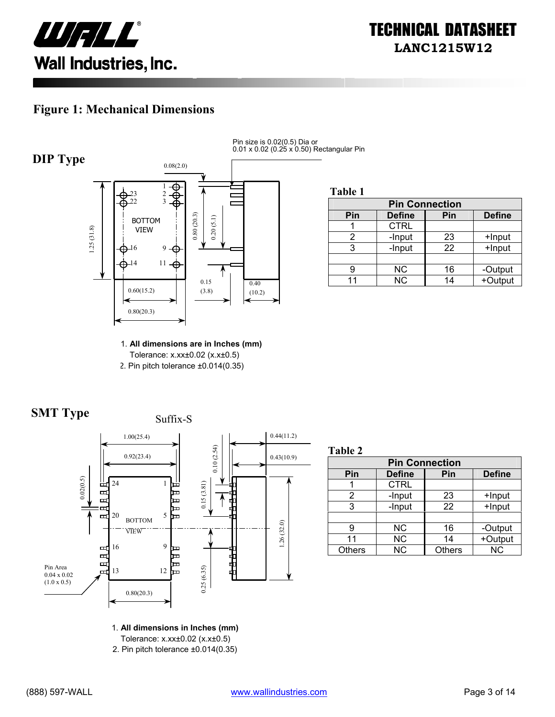

#### **Figure 1: Mechanical Dimensions**



Pin size is 0.02(0.5) Dia or 0.01 x 0.02 (0.25 x 0.50) Rectangular Pin

**Table 1**

| <b>Pin Connection</b> |               |     |               |
|-----------------------|---------------|-----|---------------|
| Pin                   | <b>Define</b> | Pin | <b>Define</b> |
|                       | <b>CTRL</b>   |     |               |
|                       | -Input        | 23  | +Input        |
|                       | -Input        | 22  | +Input        |
|                       |               |     |               |
|                       | <b>NC</b>     | 16  | -Output       |
|                       | <b>NC</b>     | 14  | +Output       |

1. **All dimensions are in Inches (mm)**  Tolerance: x.xx±0.02 (x.x±0.5) 2. Pin pitch tolerance ±0.014(0.35)





**Table 2**

| <b>Pin Connection</b> |               |               |               |
|-----------------------|---------------|---------------|---------------|
| Pin                   | <b>Define</b> | Pin           | <b>Define</b> |
|                       | <b>CTRL</b>   |               |               |
| 2                     | -Input        | 23            | +Input        |
| 3                     | -Input        | 22            | +Input        |
|                       |               |               |               |
| g                     | NС            | 16            | -Output       |
| 11                    | <b>NC</b>     | 14            | +Output       |
| <b>Others</b>         | <b>NC</b>     | <b>Others</b> | <b>NC</b>     |

1. **All dimensions in Inches (mm)** 

Tolerance: x.xx±0.02 (x.x±0.5)

2. Pin pitch tolerance ±0.014(0.35)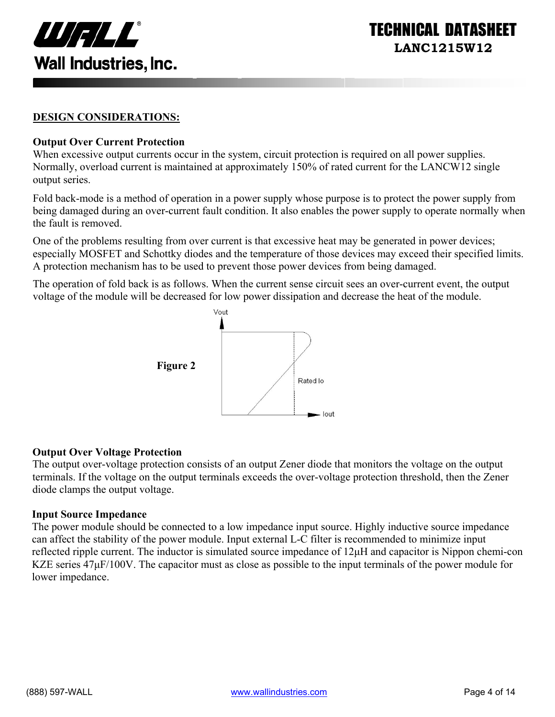

ECHNICAL DATASI **LANC1215W12** 

#### **DESIGN CONSIDERATIONS:**

#### **Output Over Current Protection**

When excessive output currents occur in the system, circuit protection is required on all power supplies. Normally, overload current is maintained at approximately 150% of rated current for the LANCW12 single output series.

Fold back-mode is a method of operation in a power supply whose purpose is to protect the power supply from being damaged during an over-current fault condition. It also enables the power supply to operate normally when the fault is removed.

One of the problems resulting from over current is that excessive heat may be generated in power devices; especially MOSFET and Schottky diodes and the temperature of those devices may exceed their specified limits. A protection mechanism has to be used to prevent those power devices from being damaged.

The operation of fold back is as follows. When the current sense circuit sees an over-current event, the output voltage of the module will be decreased for low power dissipation and decrease the heat of the module.



#### **Output Over Voltage Protection**

The output over-voltage protection consists of an output Zener diode that monitors the voltage on the output terminals. If the voltage on the output terminals exceeds the over-voltage protection threshold, then the Zener diode clamps the output voltage.

#### **Input Source Impedance**

The power module should be connected to a low impedance input source. Highly inductive source impedance can affect the stability of the power module. Input external L-C filter is recommended to minimize input reflected ripple current. The inductor is simulated source impedance of 12µH and capacitor is Nippon chemi-con KZE series  $47\mu$ F/100V. The capacitor must as close as possible to the input terminals of the power module for lower impedance.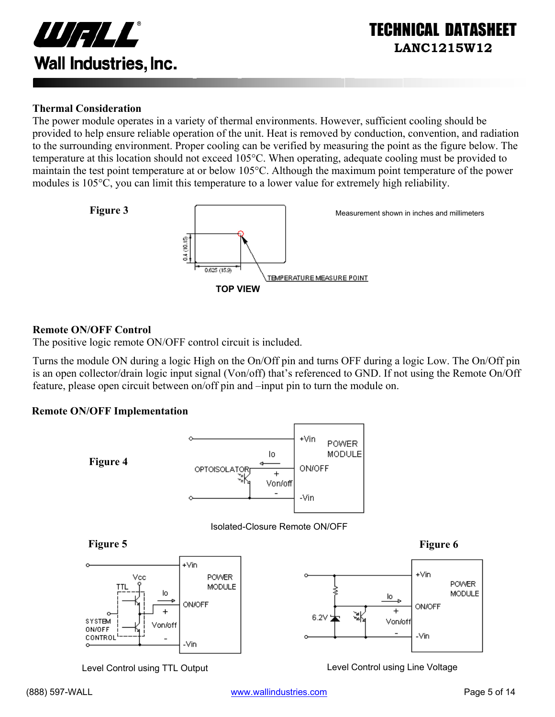

#### **Thermal Consideration**

The power module operates in a variety of thermal environments. However, sufficient cooling should be provided to help ensure reliable operation of the unit. Heat is removed by conduction, convention, and radiation to the surrounding environment. Proper cooling can be verified by measuring the point as the figure below. The temperature at this location should not exceed 105°C. When operating, adequate cooling must be provided to maintain the test point temperature at or below 105°C. Although the maximum point temperature of the power modules is 105°C, you can limit this temperature to a lower value for extremely high reliability.



#### **Remote ON/OFF Control**

The positive logic remote ON/OFF control circuit is included.

Turns the module ON during a logic High on the On/Off pin and turns OFF during a logic Low. The On/Off pin is an open collector/drain logic input signal (Von/off) that's referenced to GND. If not using the Remote On/Off feature, please open circuit between on/off pin and –input pin to turn the module on.

#### **Remote ON/OFF Implementation**



Level Control using TTL Output Level Control using Line Voltage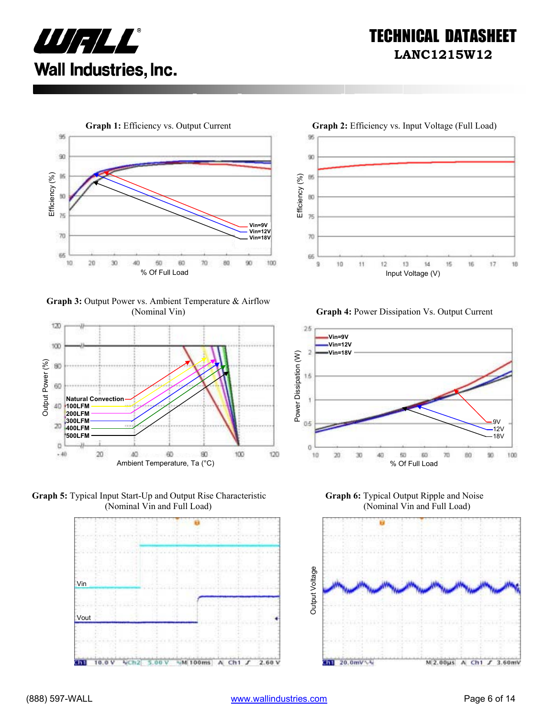



**Graph 3:** Output Power vs. Ambient Temperature & Airflow









(Nominal Vin) **Graph 4:** Power Dissipation Vs. Output Current



**Graph 6:** Typical Output Ripple and Noise (Nominal Vin and Full Load)

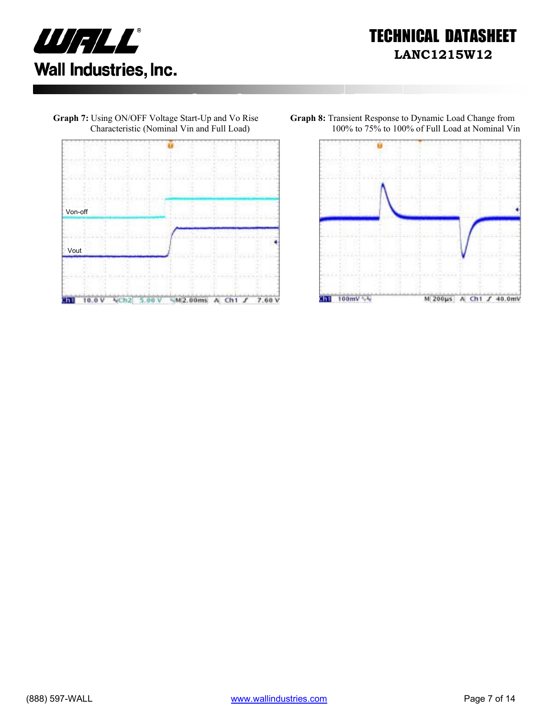







**Graph 8:** Transient Response to Dynamic Load Change from 100% to 75% to 100% of Full Load at Nominal Vin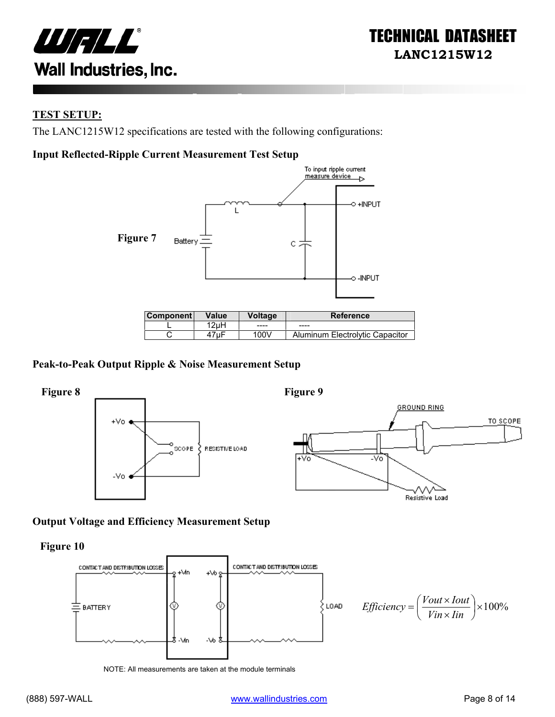

#### **TEST SETUP:**

The LANC1215W12 specifications are tested with the following configurations:

#### **Input Reflected-Ripple Current Measurement Test Setup**



| <b>Component</b> | Value | Voltageˈ | <b>Reference</b>                |
|------------------|-------|----------|---------------------------------|
|                  | 2uH   | -----    | ----                            |
|                  |       | 100V     | Aluminum Electrolytic Capacitor |

#### **Peak-to-Peak Output Ripple & Noise Measurement Setup**



#### **Output Voltage and Efficiency Measurement Setup**

**Figure 10** 



NOTE: All measurements are taken at the module terminals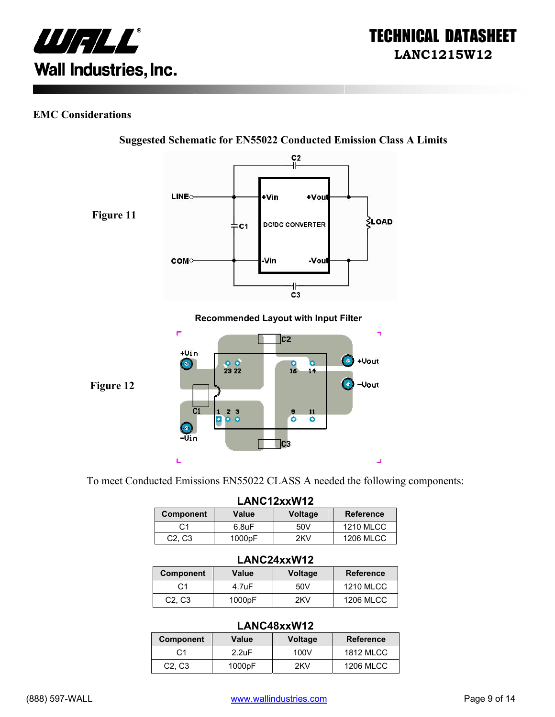

#### **EMC Considerations**



**Suggested Schematic for EN55022 Conducted Emission Class A Limits** 

To meet Conducted Emissions EN55022 CLASS A needed the following components:

| LANC12xxW12                     |                    |         |                  |
|---------------------------------|--------------------|---------|------------------|
| <b>Component</b>                | Value              | Voltage | <b>Reference</b> |
| C1                              | 6.8 <sub>U</sub> F | 50V     | <b>1210 MLCC</b> |
| C <sub>2</sub> , C <sub>3</sub> | 1000pF             | 2KV     | <b>1206 MLCC</b> |

#### **LANC24xxW12**

| <b>Component</b>                | Value  | <b>Voltage</b> | <b>Reference</b> |
|---------------------------------|--------|----------------|------------------|
| C1                              | 4.7uF  | 50V            | <b>1210 MLCC</b> |
| C <sub>2</sub> , C <sub>3</sub> | 1000pF | 2KV            | <b>1206 MLCC</b> |

#### **LANC48xxW12**

|                                 | ----------------   |                |                  |  |  |
|---------------------------------|--------------------|----------------|------------------|--|--|
| Component                       | Value              | <b>Voltage</b> | <b>Reference</b> |  |  |
| C <sub>1</sub>                  | 2.2 <sub>U</sub> F | 100V           | <b>1812 MLCC</b> |  |  |
| C <sub>2</sub> , C <sub>3</sub> | 1000pF             | 2KV            | <b>1206 MLCC</b> |  |  |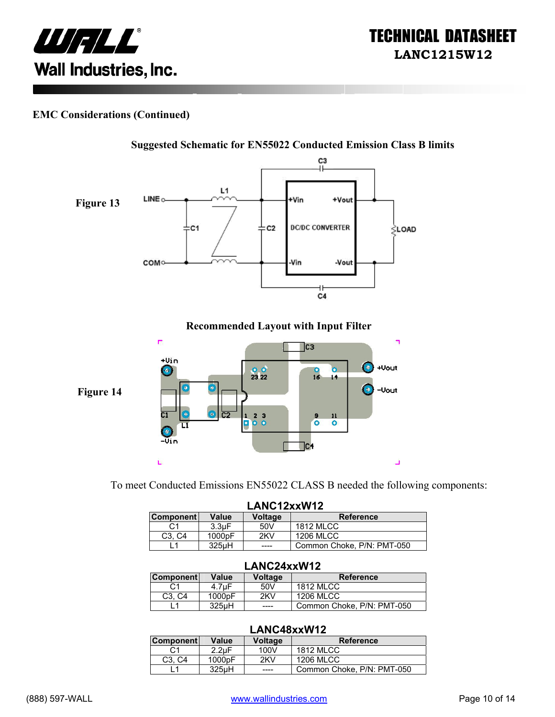

#### **EMC Considerations (Continued)**



To meet Conducted Emissions EN55022 CLASS B needed the following components:

|                                 | LANC12xxW12        |                |                            |
|---------------------------------|--------------------|----------------|----------------------------|
| <b>Component</b>                | Value              | <b>Voltage</b> | <b>Reference</b>           |
| C1                              | 3.3 <sub>U</sub> F | 50V            | <b>1812 MLCC</b>           |
| C <sub>3</sub> . C <sub>4</sub> | 1000 <sub>pF</sub> | 2KV            | <b>1206 MLCC</b>           |
|                                 | 325uH              | ____           | Common Choke, P/N: PMT-050 |

#### **LANC24xxW12**

| <b>Component</b>                | Value              | Voltage | <b>Reference</b>           |
|---------------------------------|--------------------|---------|----------------------------|
|                                 | 4.7uF              | 50V     | <b>1812 MLCC</b>           |
| C <sub>3</sub> . C <sub>4</sub> | 1000 <sub>pF</sub> | 2KV     | 1206 MLCC                  |
|                                 | 325 <sub>u</sub> H | ____    | Common Choke, P/N: PMT-050 |

#### **LANC48xxW12**

| <b>Component</b>                | Value              | <b>Voltage</b> | <b>Reference</b>           |
|---------------------------------|--------------------|----------------|----------------------------|
| C1                              | $2.2 \text{uF}$    | 100V           | <b>1812 MLCC</b>           |
| C <sub>3</sub> . C <sub>4</sub> | 1000 <sub>pF</sub> | 2KV            | 1206 MLCC                  |
|                                 | 325 <sub>µ</sub> H | ----           | Common Choke, P/N: PMT-050 |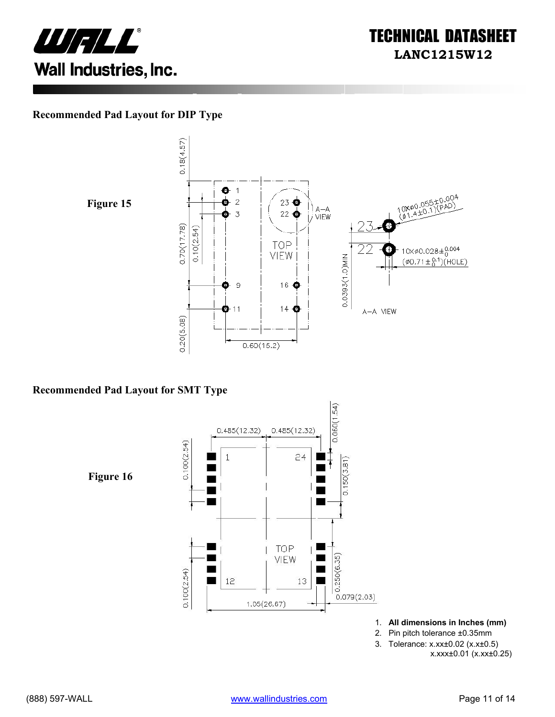



#### **Recommended Pad Layout for DIP Type**





#### **Recommended Pad Layout for SMT Type**



- 1. **All dimensions in Inches (mm)**
- 2. Pin pitch tolerance ±0.35mm
- 3. Tolerance: x.xx±0.02 (x.x±0.5)
	- x.xxx±0.01 (x.xx±0.25)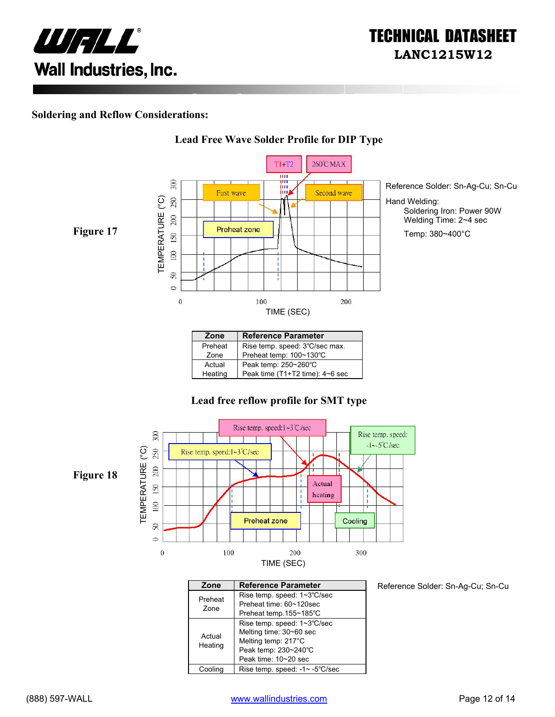

#### **Soldering and Reflow Considerations:**



#### **Lead Free Wave Solder Profile for DIP Type**

| Zone    | <b>Reference Parameter</b>      |
|---------|---------------------------------|
| Preheat | Rise temp. speed: 3°C/sec max.  |
| Zone    | Preheat temp: 100~130°C         |
| Actual  | Peak temp: 250~260°C            |
| Heating | Peak time (T1+T2 time): 4~6 sec |

#### **Lead free reflow profile for SMT type**



| Zone              | <b>Reference Parameter</b>                                                                                                    |
|-------------------|-------------------------------------------------------------------------------------------------------------------------------|
| Preheat<br>Zone   | Rise temp. speed: 1~3°C/sec<br>Preheat time: 60~120sec                                                                        |
|                   | Preheat temp.155~185°C                                                                                                        |
| Actual<br>Heating | Rise temp. speed: 1~3°C/sec<br>Melting time: 30~60 sec<br>Melting temp: 217°C<br>Peak temp: 230~240°C<br>Peak time: 10~20 sec |
| Coolina           | Rise temp. speed: -1~ -5°C/sec                                                                                                |

Reference Solder: Sn-Ag-Cu; Sn-Cu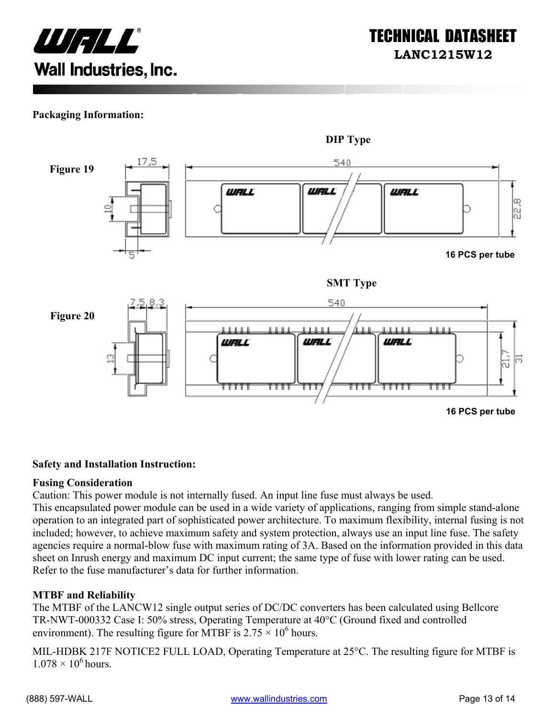

#### **Packaging Information:**



#### **Safety and Installation Instruction:**

#### **Fusing Consideration**

Caution: This power module is not internally fused. An input line fuse must always be used.

This encapsulated power module can be used in a wide variety of applications, ranging from simple stand-alone operation to an integrated part of sophisticated power architecture. To maximum flexibility, internal fusing is not included; however, to achieve maximum safety and system protection, always use an input line fuse. The safety agencies require a normal-blow fuse with maximum rating of 3A. Based on the information provided in this data sheet on Inrush energy and maximum DC input current; the same type of fuse with lower rating can be used. Refer to the fuse manufacturer's data for further information.

#### **MTBF and Reliability**

The MTBF of the LANCW12 single output series of DC/DC converters has been calculated using Bellcore TR-NWT-000332 Case I: 50% stress, Operating Temperature at 40°C (Ground fixed and controlled environment). The resulting figure for MTBF is  $2.75 \times 10^6$  hours.

MIL-HDBK 217F NOTICE2 FULL LOAD, Operating Temperature at 25°C. The resulting figure for MTBF is  $1.078 \times 10^6$  hours.